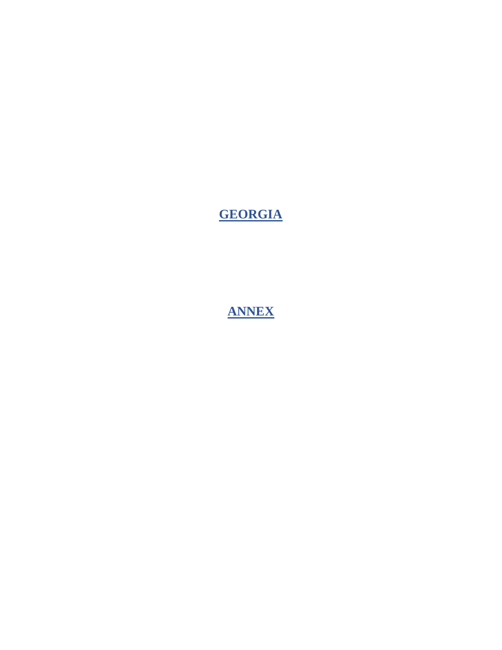# **GEORGIA**

**ANNEX**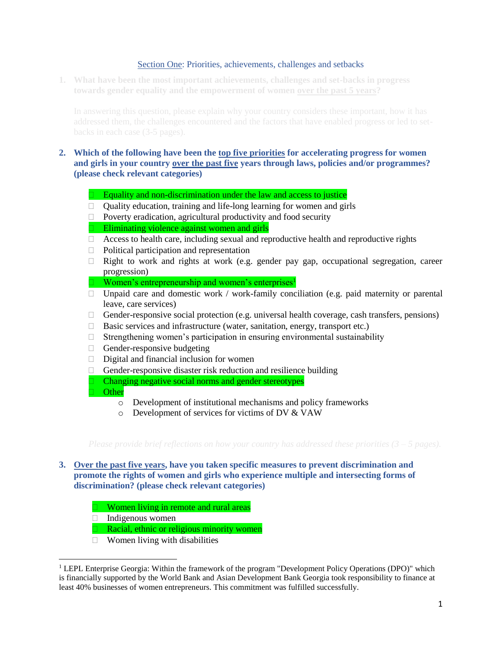### Section One: Priorities, achievements, challenges and setbacks

**1. What have been the most important achievements, challenges and set-backs in progress towards gender equality and the empowerment of women over the past 5 years?** 

# **2. Which of the following have been the top five priorities for accelerating progress for women and girls in your country over the past five years through laws, policies and/or programmes? (please check relevant categories)**

- Equality and non-discrimination under the law and access to justice
- Quality education, training and life-long learning for women and girls
- $\Box$  Poverty eradication, agricultural productivity and food security
- $\Box$  Eliminating violence against women and girls
- $\Box$  Access to health care, including sexual and reproductive health and reproductive rights
- $\Box$  Political participation and representation
- $\Box$  Right to work and rights at work (e.g. gender pay gap, occupational segregation, career progression)
- $\Box$  Women's entrepreneurship and women's enterprises<sup>1</sup>
- $\Box$  Unpaid care and domestic work / work-family conciliation (e.g. paid maternity or parental leave, care services)
- Gender-responsive social protection (e.g. universal health coverage, cash transfers, pensions)
- $\Box$  Basic services and infrastructure (water, sanitation, energy, transport etc.)
- $\Box$  Strengthening women's participation in ensuring environmental sustainability
- $\Box$  Gender-responsive budgeting
- $\Box$  Digital and financial inclusion for women
- $\Box$  Gender-responsive disaster risk reduction and resilience building
- **Changing negative social norms and gender stereotypes**
- **Other** 
	- o Development of institutional mechanisms and policy frameworks
	- o Development of services for victims of DV & VAW

# **3. Over the past five years, have you taken specific measures to prevent discrimination and promote the rights of women and girls who experience multiple and intersecting forms of discrimination? (please check relevant categories)**

- Women living in remote and rural areas
- $\Box$  Indigenous women

l

- **Racial, ethnic or religious minority women**
- $\Box$  Women living with disabilities

<sup>&</sup>lt;sup>1</sup> LEPL Enterprise Georgia: Within the framework of the program "Development Policy Operations (DPO)" which is financially supported by the World Bank and Asian Development Bank Georgia took responsibility to finance at least 40% businesses of women entrepreneurs. This commitment was fulfilled successfully.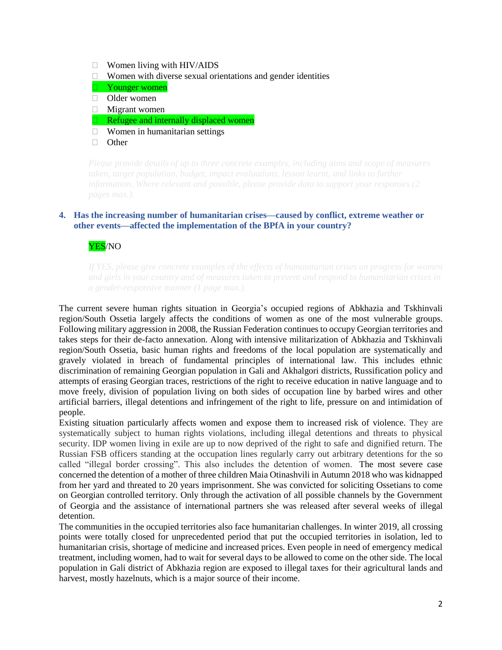- $\Box$  Women living with HIV/AIDS
- $\Box$  Women with diverse sexual orientations and gender identities
- **Younger women**
- Older women
- $\Box$  Migrant women
- $\Box$  Refugee and internally displaced women
- $\Box$  Women in humanitarian settings
- **D** Other

# **4. Has the increasing number of humanitarian crises—caused by conflict, extreme weather or other events—affected the implementation of the BPfA in your country?**

YES/NO

The current severe human rights situation in Georgia's occupied regions of Abkhazia and Tskhinvali region/South Ossetia largely affects the conditions of women as one of the most vulnerable groups. Following military aggression in 2008, the Russian Federation continues to occupy Georgian territories and takes steps for their de-facto annexation. Along with intensive militarization of Abkhazia and Tskhinvali region/South Ossetia, basic human rights and freedoms of the local population are systematically and gravely violated in breach of fundamental principles of international law. This includes ethnic discrimination of remaining Georgian population in Gali and Akhalgori districts, Russification policy and attempts of erasing Georgian traces, restrictions of the right to receive education in native language and to move freely, division of population living on both sides of occupation line by barbed wires and other artificial barriers, illegal detentions and infringement of the right to life, pressure on and intimidation of people.

Existing situation particularly affects women and expose them to increased risk of violence. They are systematically subject to human rights violations, including illegal detentions and threats to physical security. IDP women living in exile are up to now deprived of the right to safe and dignified return. The Russian FSB officers standing at the occupation lines regularly carry out arbitrary detentions for the so called "illegal border crossing". This also includes the detention of women. The most severe case concerned the detention of a mother of three children Maia Otinashvili in Autumn 2018 who was kidnapped from her yard and threated to 20 years imprisonment. She was convicted for soliciting Ossetians to come on Georgian controlled territory. Only through the activation of all possible channels by the Government of Georgia and the assistance of international partners she was released after several weeks of illegal detention.

The communities in the occupied territories also face humanitarian challenges. In winter 2019, all crossing points were totally closed for unprecedented period that put the occupied territories in isolation, led to humanitarian crisis, shortage of medicine and increased prices. Even people in need of emergency medical treatment, including women, had to wait for several days to be allowed to come on the other side. The local population in Gali district of Abkhazia region are exposed to illegal taxes for their agricultural lands and harvest, mostly hazelnuts, which is a major source of their income.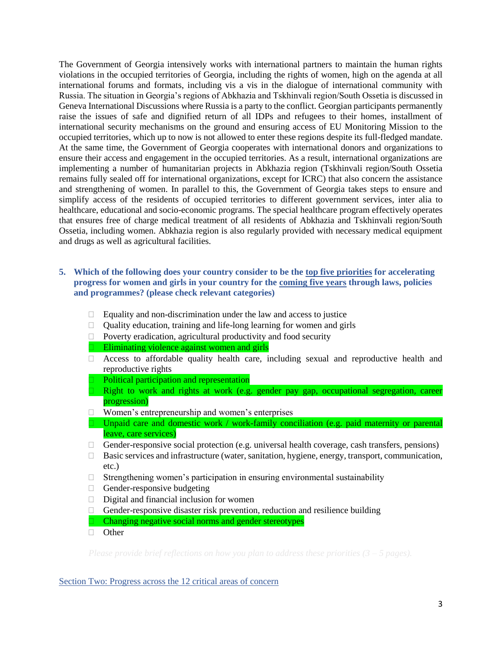The Government of Georgia intensively works with international partners to maintain the human rights violations in the occupied territories of Georgia, including the rights of women, high on the agenda at all international forums and formats, including vis a vis in the dialogue of international community with Russia. The situation in Georgia's regions of Abkhazia and Tskhinvali region/South Ossetia is discussed in Geneva International Discussions where Russia is a party to the conflict. Georgian participants permanently raise the issues of safe and dignified return of all IDPs and refugees to their homes, installment of international security mechanisms on the ground and ensuring access of EU Monitoring Mission to the occupied territories, which up to now is not allowed to enter these regions despite its full-fledged mandate. At the same time, the Government of Georgia cooperates with international donors and organizations to ensure their access and engagement in the occupied territories. As a result, international organizations are implementing a number of humanitarian projects in Abkhazia region (Tskhinvali region/South Ossetia remains fully sealed off for international organizations, except for ICRC) that also concern the assistance and strengthening of women. In parallel to this, the Government of Georgia takes steps to ensure and simplify access of the residents of occupied territories to different government services, inter alia to healthcare, educational and socio-economic programs. The special healthcare program effectively operates that ensures free of charge medical treatment of all residents of Abkhazia and Tskhinvali region/South Ossetia, including women. Abkhazia region is also regularly provided with necessary medical equipment and drugs as well as agricultural facilities.

# **5. Which of the following does your country consider to be the top five priorities for accelerating progress for women and girls in your country for the coming five years through laws, policies and programmes? (please check relevant categories)**

- $\Box$  Equality and non-discrimination under the law and access to justice
- $\Box$  Quality education, training and life-long learning for women and girls
- $\Box$  Poverty eradication, agricultural productivity and food security
- $\Box$  Eliminating violence against women and girls
- Access to affordable quality health care, including sexual and reproductive health and reproductive rights
- **Political participation and representation**
- Right to work and rights at work (e.g. gender pay gap, occupational segregation, career progression)
- □ Women's entrepreneurship and women's enterprises
- □ Unpaid care and domestic work / work-family conciliation (e.g. paid maternity or parental leave, care services)
- Gender-responsive social protection (e.g. universal health coverage, cash transfers, pensions)
- $\Box$  Basic services and infrastructure (water, sanitation, hygiene, energy, transport, communication, etc.)
- $\Box$  Strengthening women's participation in ensuring environmental sustainability
- $\Box$  Gender-responsive budgeting
- $\Box$  Digital and financial inclusion for women
- $\Box$  Gender-responsive disaster risk prevention, reduction and resilience building
- $\Box$  Changing negative social norms and gender stereotypes
- **D** Other

### Section Two: Progress across the 12 critical areas of concern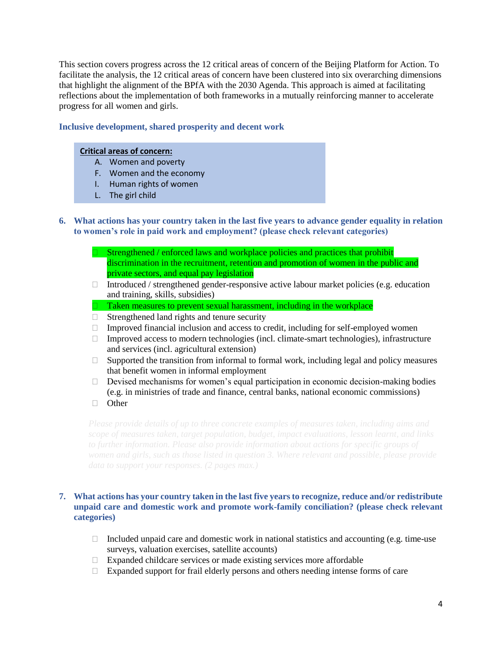This section covers progress across the 12 critical areas of concern of the Beijing Platform for Action. To facilitate the analysis, the 12 critical areas of concern have been clustered into six overarching dimensions that highlight the alignment of the BPfA with the 2030 Agenda. This approach is aimed at facilitating reflections about the implementation of both frameworks in a mutually reinforcing manner to accelerate progress for all women and girls.

# **Inclusive development, shared prosperity and decent work**

### **Critical areas of concern:**

- A. Women and poverty
- F. Women and the economy
- I. Human rights of women
- L. The girl child
- **6. What actions has your country taken in the last five years to advance gender equality in relation to women's role in paid work and employment? (please check relevant categories)**
	- Strengthened / enforced laws and workplace policies and practices that prohibit discrimination in the recruitment, retention and promotion of women in the public and private sectors, and equal pay legislation
	- $\Box$  Introduced / strengthened gender-responsive active labour market policies (e.g. education and training, skills, subsidies)
	- $\Box$  Taken measures to prevent sexual harassment, including in the workplace
	- $\Box$  Strengthened land rights and tenure security
	- $\Box$  Improved financial inclusion and access to credit, including for self-employed women
	- $\Box$  Improved access to modern technologies (incl. climate-smart technologies), infrastructure and services (incl. agricultural extension)
	- □ Supported the transition from informal to formal work, including legal and policy measures that benefit women in informal employment
	- $\Box$  Devised mechanisms for women's equal participation in economic decision-making bodies (e.g. in ministries of trade and finance, central banks, national economic commissions)
	- **D** Other

# **7. What actions has your country taken in the last five years to recognize, reduce and/or redistribute unpaid care and domestic work and promote work-family conciliation? (please check relevant categories)**

- Included unpaid care and domestic work in national statistics and accounting (e.g. time-use surveys, valuation exercises, satellite accounts)
- $\Box$  Expanded childcare services or made existing services more affordable
- $\Box$  Expanded support for frail elderly persons and others needing intense forms of care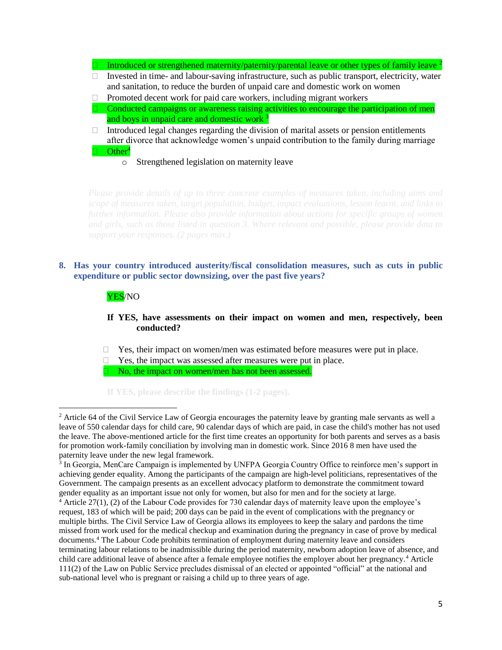Introduced or strengthened maternity/paternity/parental leave or other types of family leave <sup>2</sup>  $\Box$  Invested in time- and labour-saving infrastructure, such as public transport, electricity, water and sanitation, to reduce the burden of unpaid care and domestic work on women  $\Box$  Promoted decent work for paid care workers, including migrant workers Conducted campaigns or awareness raising activities to encourage the participation of men and boys in unpaid care and domestic work <sup>3</sup>  $\Box$  Introduced legal changes regarding the division of marital assets or pension entitlements after divorce that acknowledge women's unpaid contribution to the family during marriage  $\Box$  Other<sup>4</sup> o Strengthened legislation on maternity leave

# **8. Has your country introduced austerity/fiscal consolidation measures, such as cuts in public expenditure or public sector downsizing, over the past five years?**

# YES/NO

 $\overline{\phantom{a}}$ 

# **If YES, have assessments on their impact on women and men, respectively, been conducted?**

- $\Box$  Yes, their impact on women/men was estimated before measures were put in place.
- $\Box$  Yes, the impact was assessed after measures were put in place.

 $\Box$  No, the impact on women/men has not been assessed.

**If YES, please describe the findings (1-2 pages).** 

 $2$  Article 64 of the Civil Service Law of Georgia encourages the paternity leave by granting male servants as well a leave of 550 calendar days for child care, 90 calendar days of which are paid, in case the child's mother has not used the leave. The above-mentioned article for the first time creates an opportunity for both parents and serves as a basis for promotion work-family conciliation by involving man in domestic work. Since 2016 8 men have used the paternity leave under the new legal framework.

<sup>3</sup> In Georgia, MenCare Campaign is implemented by UNFPA Georgia Country Office to reinforce men's support in achieving gender equality. Among the participants of the campaign are high-level politicians, representatives of the Government. The campaign presents as an excellent advocacy platform to demonstrate the commitment toward gender equality as an important issue not only for women, but also for men and for the society at large.

 $4$  Article 27(1), (2) of the Labour Code provides for 730 calendar days of maternity leave upon the employee's request, 183 of which will be paid; 200 days can be paid in the event of complications with the pregnancy or multiple births. The Civil Service Law of Georgia allows its employees to keep the salary and pardons the time missed from work used for the medical checkup and examination during the pregnancy in case of prove by medical documents.<sup>4</sup> The Labour Code prohibits termination of employment during maternity leave and considers terminating labour relations to be inadmissible during the period maternity, newborn adoption leave of absence, and child care additional leave of absence after a female employee notifies the employer about her pregnancy.<sup>4</sup> Article 111(2) of the Law on Public Service precludes dismissal of an elected or appointed "official" at the national and sub-national level who is pregnant or raising a child up to three years of age.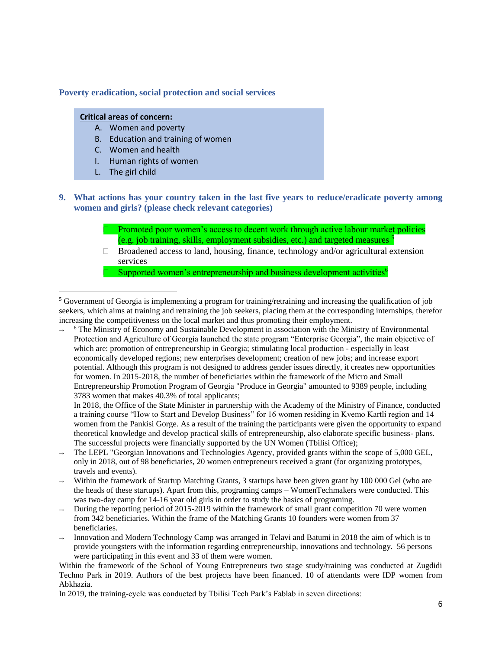### **Poverty eradication, social protection and social services**

#### **Critical areas of concern:**

- A. Women and poverty
- B. Education and training of women
- C. Women and health
- I. Human rights of women
- L. The girl child

l

- **9. What actions has your country taken in the last five years to reduce/eradicate poverty among women and girls? (please check relevant categories)**
	- Promoted poor women's access to decent work through active labour market policies (e.g. job training, skills, employment subsidies, etc.) and targeted measures  $<sup>5</sup>$ </sup>
	- $\Box$  Broadened access to land, housing, finance, technology and/or agricultural extension services

Supported women's entrepreneurship and business development activities<sup>6</sup>

→ <sup>6</sup> The Ministry of Economy and Sustainable Development in association with the Ministry of Environmental Protection and Agriculture of Georgia launched the state program "Enterprise Georgia", the main objective of which are: promotion of entrepreneurship in Georgia; stimulating local production - especially in least economically developed regions; new enterprises development; creation of new jobs; and increase export potential. Although this program is not designed to address gender issues directly, it creates new opportunities for women. In 2015-2018, the number of beneficiaries within the framework of the Micro and Small Entrepreneurship Promotion Program of Georgia "Produce in Georgia" amounted to 9389 people, including 3783 women that makes 40.3% of total applicants;

In 2018, the Office of the State Minister in partnership with the Academy of the Ministry of Finance, conducted a training course "How to Start and Develop Business" for 16 women residing in Kvemo Kartli region and 14 women from the Pankisi Gorge. As a result of the training the participants were given the opportunity to expand theoretical knowledge and develop practical skills of entrepreneurship, also elaborate specific business- plans. The successful projects were financially supported by the UN Women (Tbilisi Office);

- The LEPL "Georgian Innovations and Technologies Agency, provided grants within the scope of 5,000 GEL, only in 2018, out of 98 beneficiaries, 20 women entrepreneurs received a grant (for organizing prototypes, travels and events).
- Within the framework of Startup Matching Grants, 3 startups have been given grant by 100 000 Gel (who are the heads of these startups). Apart from this, programing camps – WomenTechmakers were conducted. This was two-day camp for 14-16 year old girls in order to study the basics of programing.
- During the reporting period of 2015-2019 within the framework of small grant competition 70 were women from 342 beneficiaries. Within the frame of the Matching Grants 10 founders were women from 37 beneficiaries.
- Innovation and Modern Technology Camp was arranged in Telavi and Batumi in 2018 the aim of which is to provide youngsters with the information regarding entrepreneurship, innovations and technology. 56 persons were participating in this event and 33 of them were women.

Within the framework of the School of Young Entrepreneurs two stage study/training was conducted at Zugdidi Techno Park in 2019. Authors of the best projects have been financed. 10 of attendants were IDP women from Abkhazia.

In 2019, the training-cycle was conducted by Tbilisi Tech Park's Fablab in seven directions:

<sup>&</sup>lt;sup>5</sup> Government of Georgia is implementing a program for training/retraining and increasing the qualification of job seekers, which aims at training and retraining the job seekers, placing them at the corresponding internships, therefor increasing the competitiveness on the local market and thus promoting their employment.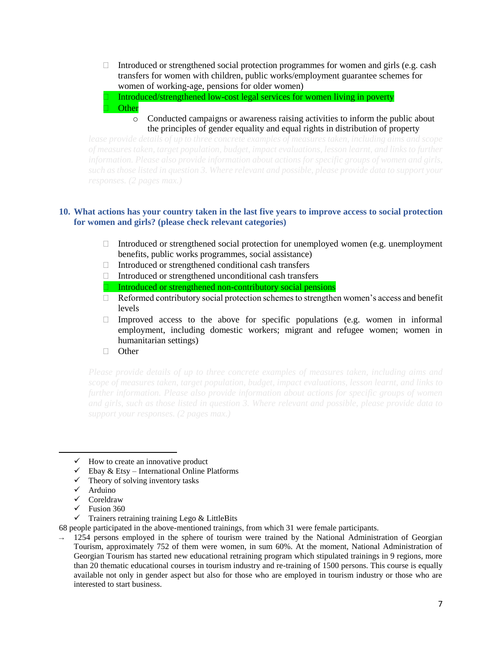Introduced or strengthened social protection programmes for women and girls (e.g. cash transfers for women with children, public works/employment guarantee schemes for women of working-age, pensions for older women)

 Introduced/strengthened low-cost legal services for women living in poverty **Other** 

o Conducted campaigns or awareness raising activities to inform the public about the principles of gender equality and equal rights in distribution of property

# **10. What actions has your country taken in the last five years to improve access to social protection for women and girls? (please check relevant categories)**

- Introduced or strengthened social protection for unemployed women (e.g. unemployment benefits, public works programmes, social assistance)
- $\Box$  Introduced or strengthened conditional cash transfers
- $\Box$  Introduced or strengthened unconditional cash transfers
- Introduced or strengthened non-contributory social pensions
- □ Reformed contributory social protection schemes to strengthen women's access and benefit levels
- Improved access to the above for specific populations (e.g. women in informal employment, including domestic workers; migrant and refugee women; women in humanitarian settings)
- □ Other

- $\checkmark$  How to create an innovative product
- $\checkmark$  Ebay & Etsy International Online Platforms
- $\checkmark$  Theory of solving inventory tasks
- ✓ Arduino

 $\overline{\phantom{a}}$ 

- ✓ Coreldraw
- $\checkmark$  Fusion 360
- ✓ Trainers retraining training Lego & LittleBits

68 people participated in the above-mentioned trainings, from which 31 were female participants.

 $\rightarrow$  1254 persons employed in the sphere of tourism were trained by the National Administration of Georgian Tourism, approximately 752 of them were women, in sum 60%. At the moment, National Administration of Georgian Tourism has started new educational retraining program which stipulated trainings in 9 regions, more than 20 thematic educational courses in tourism industry and re-training of 1500 persons. This course is equally available not only in gender aspect but also for those who are employed in tourism industry or those who are interested to start business.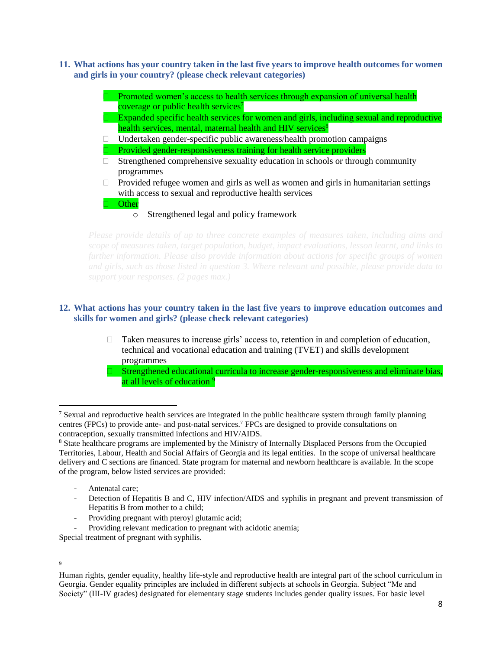**11. What actions has your country taken in the last five years to improve health outcomes for women and girls in your country? (please check relevant categories)**

|    | Promoted women's access to health services through expansion of universal health         |
|----|------------------------------------------------------------------------------------------|
|    | coverage or public health services <sup>7</sup>                                          |
|    | Expanded specific health services for women and girls, including sexual and reproductive |
|    | health services, mental, maternal health and HIV services <sup>8</sup>                   |
| Ω. | Undertaken gender-specific public awareness/health promotion campaigns                   |
|    | Provided gender-responsiveness training for health service providers                     |
| П. | Strengthened comprehensive sexuality education in schools or through community           |
|    | programmes                                                                               |
| П. | Provided refugee women and girls as well as women and girls in humanitarian settings     |
|    | with access to sexual and reproductive health services                                   |
|    | Other                                                                                    |

Strengthened legal and policy framework

# **12. What actions has your country taken in the last five years to improve education outcomes and skills for women and girls? (please check relevant categories)**

- $\Box$  Taken measures to increase girls' access to, retention in and completion of education, technical and vocational education and training (TVET) and skills development programmes
- $\Box$  Strengthened educational curricula to increase gender-responsiveness and eliminate bias, at all levels of education <sup>9</sup>

- Detection of Hepatitis B and C, HIV infection/AIDS and syphilis in pregnant and prevent transmission of Hepatitis B from mother to a child;
- Providing pregnant with pteroyl glutamic acid;

Providing relevant medication to pregnant with acidotic anemia;

Special treatment of pregnant with syphilis.

#### 9

 $\overline{\phantom{a}}$ 

Human rights, gender equality, healthy life-style and reproductive health are integral part of the school curriculum in Georgia. Gender equality principles are included in different subjects at schools in Georgia. Subject "Me and Society" (III-IV grades) designated for elementary stage students includes gender quality issues. For basic level

<sup>&</sup>lt;sup>7</sup> Sexual and reproductive health services are integrated in the public healthcare system through family planning centres (FPCs) to provide ante- and post-natal services.<sup>7</sup> FPCs are designed to provide consultations on contraception, sexually transmitted infections and HIV/AIDS.

<sup>8</sup> State healthcare programs are implemented by the Ministry of Internally Displaced Persons from the Occupied Territories, Labour, Health and Social Affairs of Georgia and its legal entities. In the scope of universal healthcare delivery and C sections are financed. State program for maternal and newborn healthcare is available. In the scope of the program, below listed services are provided:

Antenatal care;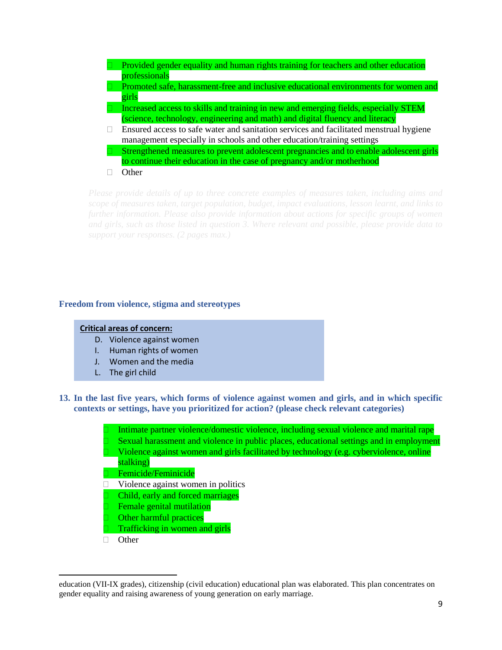- Provided gender equality and human rights training for teachers and other education professionals Promoted safe, harassment-free and inclusive educational environments for women and girls Increased access to skills and training in new and emerging fields, especially STEM (science, technology, engineering and math) and digital fluency and literacy
- $\Box$  Ensured access to safe water and sanitation services and facilitated menstrual hygiene management especially in schools and other education/training settings
- Strengthened measures to prevent adolescent pregnancies and to enable adolescent girls to continue their education in the case of pregnancy and/or motherhood
- **D** Other

### **Freedom from violence, stigma and stereotypes**

### **Critical areas of concern:**

- D. Violence against women
- I. Human rights of women
- J. Women and the media
- L. The girl child
- **13. In the last five years, which forms of violence against women and girls, and in which specific contexts or settings, have you prioritized for action? (please check relevant categories)**
	- Intimate partner violence/domestic violence, including sexual violence and marital rape Sexual harassment and violence in public places, educational settings and in employment Violence against women and girls facilitated by technology (e.g. cyberviolence, online stalking)
	- **Femicide/Feminicide**
	- $\Box$  Violence against women in politics
	- Child, early and forced marriages
	- Female genital mutilation
	- Other harmful practices
	- Trafficking in women and girls
	- □ Other

 $\overline{a}$ 

education (VII-IX grades), citizenship (civil education) educational plan was elaborated. This plan concentrates on gender equality and raising awareness of young generation on early marriage.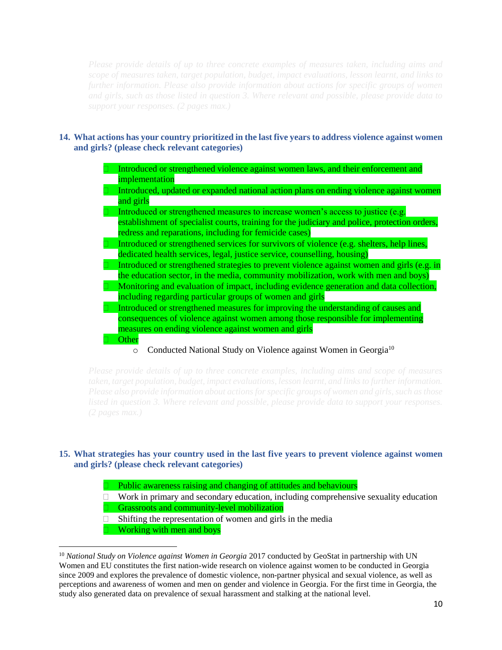# **14. What actions has your country prioritized in the last five years to address violence against women and girls? (please check relevant categories)**

| Introduced or strengthened violence against women laws, and their enforcement and                                                                                                                                                               |
|-------------------------------------------------------------------------------------------------------------------------------------------------------------------------------------------------------------------------------------------------|
| implementation                                                                                                                                                                                                                                  |
| Introduced, updated or expanded national action plans on ending violence against women                                                                                                                                                          |
| and girls                                                                                                                                                                                                                                       |
| Introduced or strengthened measures to increase women's access to justice (e.g.                                                                                                                                                                 |
| establishment of specialist courts, training for the judiciary and police, protection orders,                                                                                                                                                   |
| redress and reparations, including for femicide cases)                                                                                                                                                                                          |
| Introduced or strengthened services for survivors of violence (e.g. shelters, help lines,                                                                                                                                                       |
| dedicated health services, legal, justice service, counselling, housing)                                                                                                                                                                        |
| Introduced or strengthened strategies to prevent violence against women and girls (e.g. in                                                                                                                                                      |
| the education sector, in the media, community mobilization, work with men and boys)                                                                                                                                                             |
| Monitoring and evaluation of impact, including evidence generation and data collection,                                                                                                                                                         |
| including regarding particular groups of women and girls                                                                                                                                                                                        |
| Introduced or strengthened measures for improving the understanding of causes and                                                                                                                                                               |
| consequences of violence against women among those responsible for implementing                                                                                                                                                                 |
| measures on ending violence against women and girls                                                                                                                                                                                             |
| Other                                                                                                                                                                                                                                           |
| $C = 1$ and $C = 1$ and $C = 1$ and $C = 1$ and $C = 1$ and $C = 1$ and $C = 1$ and $C = 1$ and $C = 1$ and $C = 1$ and $C = 1$ and $C = 1$ and $C = 1$ and $C = 1$ and $C = 1$ and $C = 1$ and $C = 1$ and $C = 1$ and $C = 1$ and $C = 1$ and |

 $\circ$  Conducted National Study on Violence against Women in Georgia<sup>10</sup>

# **15. What strategies has your country used in the last five years to prevent violence against women and girls? (please check relevant categories)**

- Public awareness raising and changing of attitudes and behaviours
- $\Box$  Work in primary and secondary education, including comprehensive sexuality education
- Grassroots and community-level mobilization
- $\Box$  Shifting the representation of women and girls in the media
	- Working with men and boys

l

<sup>&</sup>lt;sup>10</sup> *National Study on Violence against Women in Georgia* 2017 conducted by GeoStat in partnership with UN Women and EU constitutes the first nation-wide research on violence against women to be conducted in Georgia since 2009 and explores the prevalence of domestic violence, non-partner physical and sexual violence, as well as perceptions and awareness of women and men on gender and violence in Georgia. For the first time in Georgia, the study also generated data on prevalence of sexual harassment and stalking at the national level.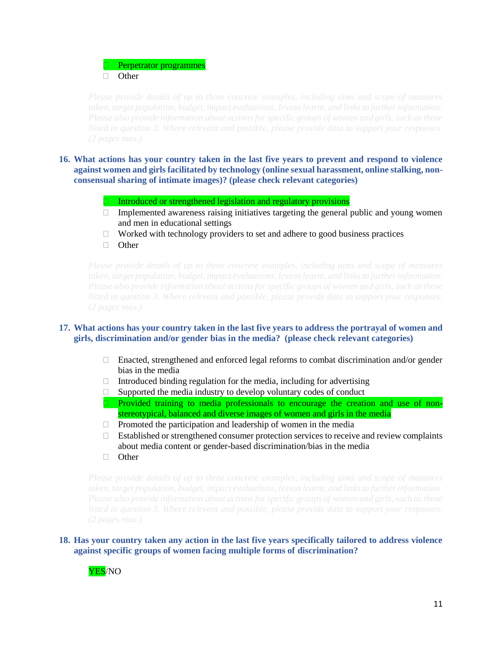Perpetrator programmes □ Other

- **16. What actions has your country taken in the last five years to prevent and respond to violence against women and girls facilitated by technology (online sexual harassment, online stalking, nonconsensual sharing of intimate images)? (please check relevant categories)**
	- Introduced or strengthened legislation and regulatory provisions
	- $\Box$  Implemented awareness raising initiatives targeting the general public and young women and men in educational settings
	- $\Box$  Worked with technology providers to set and adhere to good business practices
	- **D** Other

### **17. What actions has your country taken in the last five years to address the portrayal of women and girls, discrimination and/or gender bias in the media? (please check relevant categories)**

- Enacted, strengthened and enforced legal reforms to combat discrimination and/or gender bias in the media
- $\Box$  Introduced binding regulation for the media, including for advertising
- $\Box$  Supported the media industry to develop voluntary codes of conduct
- Provided training to media professionals to encourage the creation and use of nonstereotypical, balanced and diverse images of women and girls in the media
- $\Box$  Promoted the participation and leadership of women in the media
- $\Box$  Established or strengthened consumer protection services to receive and review complaints about media content or gender-based discrimination/bias in the media
- □ Other

# **18. Has your country taken any action in the last five years specifically tailored to address violence against specific groups of women facing multiple forms of discrimination?**

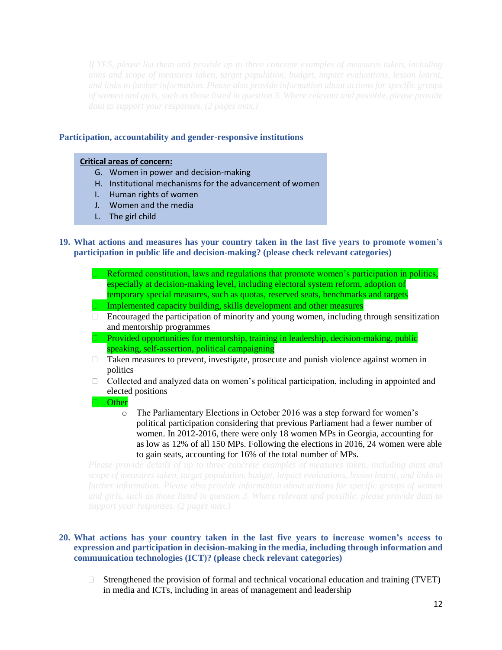### **Participation, accountability and gender-responsive institutions**

#### **Critical areas of concern:**

- G. Women in power and decision-making
- H. Institutional mechanisms for the advancement of women
- I. Human rights of women
- J. Women and the media
- L. The girl child

## **19. What actions and measures has your country taken in the last five years to promote women's participation in public life and decision-making? (please check relevant categories)**

- Reformed constitution, laws and regulations that promote women's participation in politics, especially at decision-making level, including electoral system reform, adoption of temporary special measures, such as quotas, reserved seats, benchmarks and targets  $\Box$  Implemented capacity building, skills development and other measures
- $\Box$  Encouraged the participation of minority and young women, including through sensitization and mentorship programmes
- Provided opportunities for mentorship, training in leadership, decision-making, public speaking, self-assertion, political campaigning
- $\Box$  Taken measures to prevent, investigate, prosecute and punish violence against women in politics
- $\Box$  Collected and analyzed data on women's political participation, including in appointed and elected positions
- **Other** 
	- o The Parliamentary Elections in October 2016 was a step forward for women's political participation considering that previous Parliament had a fewer number of women. In 2012-2016, there were only 18 women MPs in Georgia, accounting for as low as 12% of all 150 MPs. Following the elections in 2016, 24 women were able to gain seats, accounting for 16% of the total number of MPs.

# **20. What actions has your country taken in the last five years to increase women's access to expression and participation in decision-making in the media, including through information and communication technologies (ICT)? (please check relevant categories)**

 $\Box$  Strengthened the provision of formal and technical vocational education and training (TVET) in media and ICTs, including in areas of management and leadership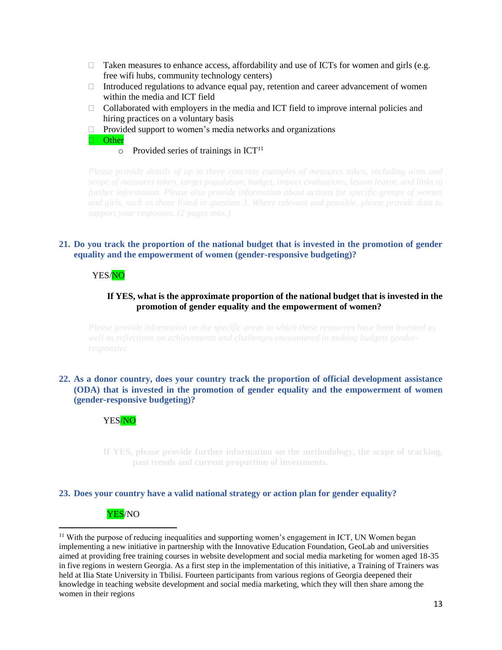- $\Box$  Taken measures to enhance access, affordability and use of ICTs for women and girls (e.g. free wifi hubs, community technology centers)
- Introduced regulations to advance equal pay, retention and career advancement of women within the media and ICT field
- $\Box$  Collaborated with employers in the media and ICT field to improve internal policies and hiring practices on a voluntary basis
- $\Box$  Provided support to women's media networks and organizations

**D** Other

 $\circ$  Provided series of trainings in ICT<sup>11</sup>

# **21. Do you track the proportion of the national budget that is invested in the promotion of gender equality and the empowerment of women (gender-responsive budgeting)?**

# YES/NO

# **If YES, what is the approximate proportion of the national budget that is invested in the promotion of gender equality and the empowerment of women?**

# **22. As a donor country, does your country track the proportion of official development assistance (ODA) that is invested in the promotion of gender equality and the empowerment of women (gender-responsive budgeting)?**

### YES/NO

**If YES, please provide further information on the methodology, the scope of tracking, past trends and current proportion of investments.**

### **23. Does your country have a valid national strategy or action plan for gender equality?**

# YES/NO

 $\overline{\phantom{a}}$ 

<sup>11</sup> With the purpose of reducing inequalities and supporting women's engagement in ICT, UN Women began implementing a new initiative in partnership with the Innovative Education Foundation, GeoLab and universities aimed at providing free training courses in website development and social media marketing for women aged 18-35 in five regions in western Georgia. As a first step in the implementation of this initiative, a Training of Trainers was held at Ilia State University in Tbilisi. Fourteen participants from various regions of Georgia deepened their knowledge in teaching website development and social media marketing, which they will then share among the women in their regions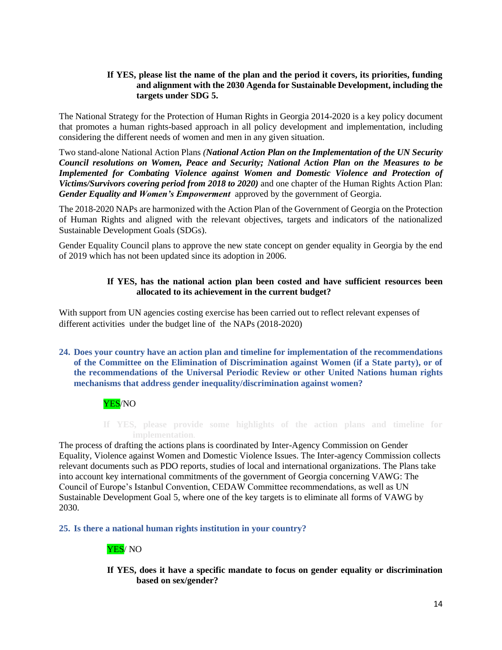# **If YES, please list the name of the plan and the period it covers, its priorities, funding and alignment with the 2030 Agenda for Sustainable Development, including the targets under SDG 5.**

The National Strategy for the Protection of Human Rights in Georgia 2014-2020 is a key policy document that promotes a human rights-based approach in all policy development and implementation, including considering the different needs of women and men in any given situation.

Two stand-alone National Action Plans *(National Action Plan on the Implementation of the UN Security Council resolutions on Women, Peace and Security; National Action Plan on the Measures to be Implemented for Combating Violence against Women and Domestic Violence and Protection of Victims/Survivors covering period from 2018 to 2020)* and one chapter of the Human Rights Action Plan: *Gender Equality and Women's Empowerment* approved by the government of Georgia.

The 2018-2020 NAPs are harmonized with the Action Plan of the Government of Georgia on the Protection of Human Rights and aligned with the relevant objectives, targets and indicators of the nationalized Sustainable Development Goals (SDGs).

Gender Equality Council plans to approve the new state concept on gender equality in Georgia by the end of 2019 which has not been updated since its adoption in 2006.

# **If YES, has the national action plan been costed and have sufficient resources been allocated to its achievement in the current budget?**

With support from UN agencies costing exercise has been carried out to reflect relevant expenses of different activities under the budget line of the NAPs (2018-2020)

**24. Does your country have an action plan and timeline for implementation of the recommendations of the Committee on the Elimination of Discrimination against Women (if a State party), or of the recommendations of the Universal Periodic Review or other United Nations human rights mechanisms that address gender inequality/discrimination against women?**

# YES/NO

**If YES, please provide some highlights of the action plans and timeline for** 

The process of drafting the actions plans is coordinated by Inter-Agency Commission on Gender Equality, Violence against Women and Domestic Violence Issues. The Inter-agency Commission collects relevant documents such as PDO reports, studies of local and international organizations. The Plans take into account key international commitments of the government of Georgia concerning VAWG: The Council of Europe's Istanbul Convention, CEDAW Committee recommendations, as well as UN Sustainable Development Goal 5, where one of the key targets is to eliminate all forms of VAWG by 2030.

**25. Is there a national human rights institution in your country?**

# YES/ NO

**If YES, does it have a specific mandate to focus on gender equality or discrimination based on sex/gender?**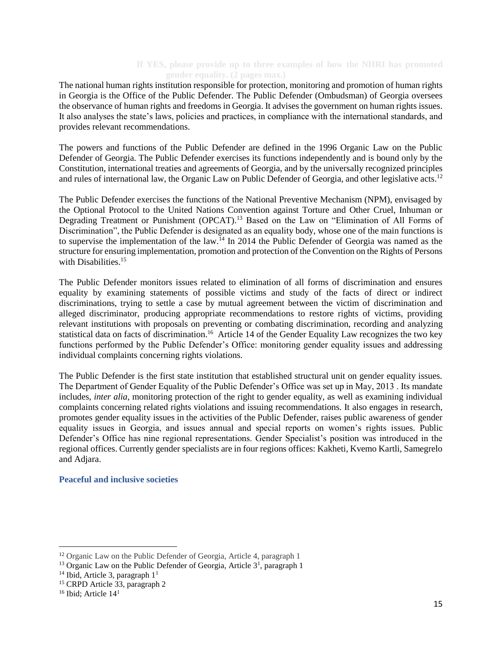# **If YES, please provide up to three examples of how the NHRI has promoted gender equality. (2 pages max.)**

The national human rights institution responsible for protection, monitoring and promotion of human rights in Georgia is the Office of the Public Defender. The Public Defender (Ombudsman) of Georgia oversees the observance of human rights and freedoms in Georgia. It advises the government on human rights issues. It also analyses the state's laws, policies and practices, in compliance with the international standards, and provides relevant recommendations.

The powers and functions of the Public Defender are defined in the 1996 Organic Law on the Public Defender of Georgia. The Public Defender exercises its functions independently and is bound only by the Constitution, international treaties and agreements of Georgia, and by the universally recognized principles and rules of international law, the Organic Law on Public Defender of Georgia, and other legislative acts.<sup>12</sup>

The Public Defender exercises the functions of the National Preventive Mechanism (NPM), envisaged by the Optional Protocol to the United Nations Convention against Torture and Other Cruel, Inhuman or Degrading Treatment or Punishment (OPCAT).<sup>13</sup> Based on the Law on "Elimination of All Forms of Discrimination", the Public Defender is designated as an equality body, whose one of the main functions is to supervise the implementation of the law.<sup>14</sup> In 2014 the Public Defender of Georgia was named as the structure for ensuring implementation, promotion and protection of the Convention on the Rights of Persons with Disabilities.<sup>15</sup>

The Public Defender monitors issues related to elimination of all forms of discrimination and ensures equality by examining statements of possible victims and study of the facts of direct or indirect discriminations, trying to settle a case by mutual agreement between the victim of discrimination and alleged discriminator, producing appropriate recommendations to restore rights of victims, providing relevant institutions with proposals on preventing or combating discrimination, recording and analyzing statistical data on facts of discrimination.<sup>16</sup> Article 14 of the Gender Equality Law recognizes the two key functions performed by the Public Defender's Office: monitoring gender equality issues and addressing individual complaints concerning rights violations.

The Public Defender is the first state institution that established structural unit on gender equality issues. The Department of Gender Equality of the Public Defender's Office was set up in May, 2013 . Its mandate includes, *inter alia*, monitoring protection of the right to gender equality, as well as examining individual complaints concerning related rights violations and issuing recommendations. It also engages in research, promotes gender equality issues in the activities of the Public Defender, raises public awareness of gender equality issues in Georgia, and issues annual and special reports on women's rights issues. Public Defender's Office has nine regional representations. Gender Specialist's position was introduced in the regional offices. Currently gender specialists are in four regions offices: Kakheti, Kvemo Kartli, Samegrelo and Adjara.

### **Peaceful and inclusive societies**

l

<sup>12</sup> Organic Law on the Public Defender of Georgia, Article 4, paragraph 1

<sup>&</sup>lt;sup>13</sup> Organic Law on the Public Defender of Georgia, Article  $3<sup>1</sup>$ , paragraph 1

 $14$  Ibid, Article 3, paragraph  $11$ 

<sup>15</sup> CRPD Article 33, paragraph 2

<sup>&</sup>lt;sup>16</sup> Ibid; Article 14<sup>1</sup>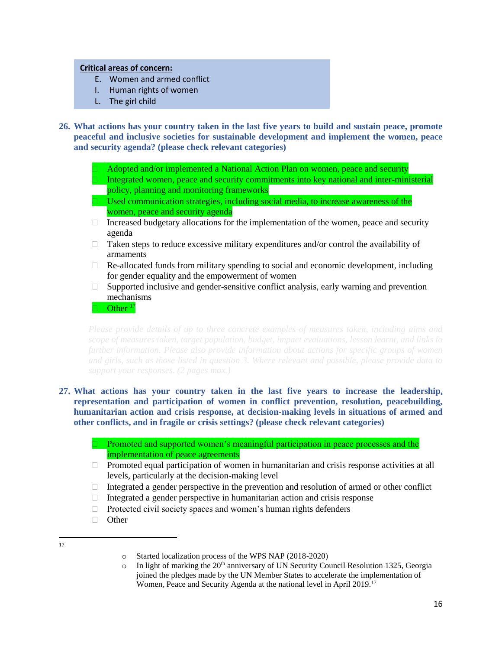# **Critical areas of concern:**

- E. Women and armed conflict
- I. Human rights of women
- L. The girl child

**26. What actions has your country taken in the last five years to build and sustain peace, promote peaceful and inclusive societies for sustainable development and implement the women, peace and security agenda? (please check relevant categories)**

Adopted and/or implemented a National Action Plan on women, peace and security

 Integrated women, peace and security commitments into key national and inter-ministerial policy, planning and monitoring frameworks

- $\Box$  Used communication strategies, including social media, to increase awareness of the women, peace and security agenda
- $\Box$  Increased budgetary allocations for the implementation of the women, peace and security agenda
- $\Box$  Taken steps to reduce excessive military expenditures and/or control the availability of armaments
- $\Box$  Re-allocated funds from military spending to social and economic development, including for gender equality and the empowerment of women
- $\Box$  Supported inclusive and gender-sensitive conflict analysis, early warning and prevention mechanisms

Other<sup>17</sup>

- **27. What actions has your country taken in the last five years to increase the leadership, representation and participation of women in conflict prevention, resolution, peacebuilding, humanitarian action and crisis response, at decision-making levels in situations of armed and other conflicts, and in fragile or crisis settings? (please check relevant categories)**
	- **Promoted and supported women's meaningful participation in peace processes and the** implementation of peace agreements
	- $\Box$  Promoted equal participation of women in humanitarian and crisis response activities at all levels, particularly at the decision-making level
	- $\Box$  Integrated a gender perspective in the prevention and resolution of armed or other conflict
	- $\Box$  Integrated a gender perspective in humanitarian action and crisis response
	- $\Box$  Protected civil society spaces and women's human rights defenders
	- □ Other
- $\frac{1}{17}$

 $\circ$  In light of marking the 20<sup>th</sup> anniversary of UN Security Council Resolution 1325, Georgia joined the pledges made by the UN Member States to accelerate the implementation of Women, Peace and Security Agenda at the national level in April 2019.<sup>17</sup>

o Started localization process of the WPS NAP (2018-2020)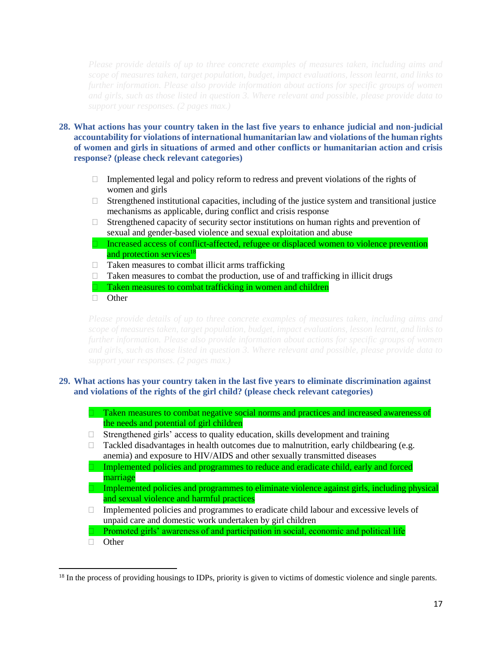- **28. What actions has your country taken in the last five years to enhance judicial and non-judicial accountability for violations of international humanitarian law and violations of the human rights of women and girls in situations of armed and other conflicts or humanitarian action and crisis response? (please check relevant categories)**
	- $\Box$  Implemented legal and policy reform to redress and prevent violations of the rights of women and girls
	- $\Box$  Strengthened institutional capacities, including of the justice system and transitional justice mechanisms as applicable, during conflict and crisis response
	- $\Box$  Strengthened capacity of security sector institutions on human rights and prevention of sexual and gender-based violence and sexual exploitation and abuse
	- Increased access of conflict-affected, refugee or displaced women to violence prevention and protection services<sup>18</sup>
	- $\Box$  Taken measures to combat illicit arms trafficking
	- $\Box$  Taken measures to combat the production, use of and trafficking in illicit drugs
	- Taken measures to combat trafficking in women and children
	- **D** Other

# **29. What actions has your country taken in the last five years to eliminate discrimination against and violations of the rights of the girl child? (please check relevant categories)**

 Taken measures to combat negative social norms and practices and increased awareness of the needs and potential of girl children

- $\Box$  Strengthened girls' access to quality education, skills development and training
- $\Box$  Tackled disadvantages in health outcomes due to malnutrition, early childbearing (e.g. anemia) and exposure to HIV/AIDS and other sexually transmitted diseases
- $\Box$  Implemented policies and programmes to reduce and eradicate child, early and forced marriage
- $\Box$  Implemented policies and programmes to eliminate violence against girls, including physical and sexual violence and harmful practices
- $\Box$  Implemented policies and programmes to eradicate child labour and excessive levels of unpaid care and domestic work undertaken by girl children
- $\Box$  Promoted girls' awareness of and participation in social, economic and political life
- **D** Other

 $\overline{a}$ 

<sup>&</sup>lt;sup>18</sup> In the process of providing housings to IDPs, priority is given to victims of domestic violence and single parents.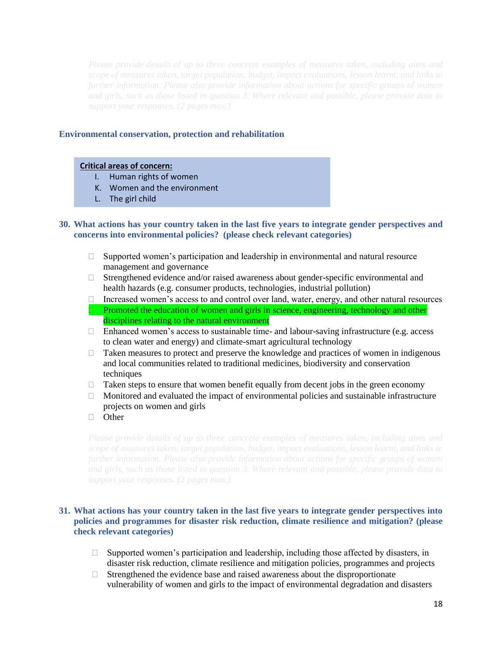### **Environmental conservation, protection and rehabilitation**

### **Critical areas of concern:**

- I. Human rights of women
- K. Women and the environment
- L. The girl child

### **30. What actions has your country taken in the last five years to integrate gender perspectives and concerns into environmental policies? (please check relevant categories)**

- $\Box$  Supported women's participation and leadership in environmental and natural resource management and governance
- $\Box$  Strengthened evidence and/or raised awareness about gender-specific environmental and health hazards (e.g. consumer products, technologies, industrial pollution)
- $\Box$  Increased women's access to and control over land, water, energy, and other natural resources
- $\Box$  Promoted the education of women and girls in science, engineering, technology and other disciplines relating to the natural environment
- $\Box$  Enhanced women's access to sustainable time- and labour-saving infrastructure (e.g. access to clean water and energy) and climate-smart agricultural technology
- $\Box$  Taken measures to protect and preserve the knowledge and practices of women in indigenous and local communities related to traditional medicines, biodiversity and conservation techniques
- $\Box$  Taken steps to ensure that women benefit equally from decent jobs in the green economy
- $\Box$  Monitored and evaluated the impact of environmental policies and sustainable infrastructure projects on women and girls
- **D** Other

# **31. What actions has your country taken in the last five years to integrate gender perspectives into policies and programmes for disaster risk reduction, climate resilience and mitigation? (please check relevant categories)**

- $\Box$  Supported women's participation and leadership, including those affected by disasters, in disaster risk reduction, climate resilience and mitigation policies, programmes and projects
- $\Box$  Strengthened the evidence base and raised awareness about the disproportionate vulnerability of women and girls to the impact of environmental degradation and disasters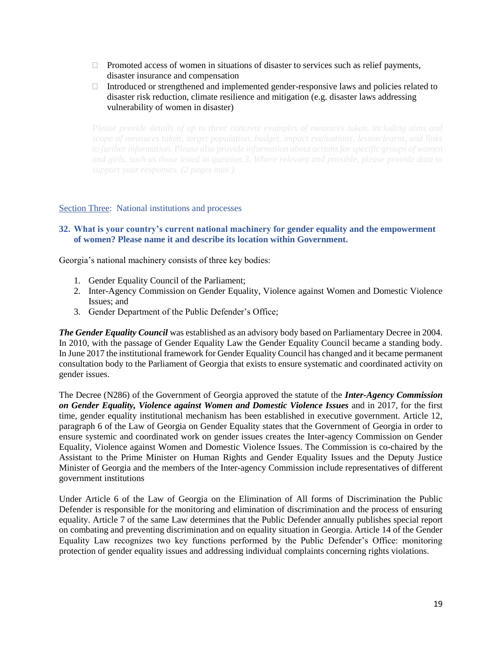- $\Box$  Promoted access of women in situations of disaster to services such as relief payments, disaster insurance and compensation
- Introduced or strengthened and implemented gender-responsive laws and policies related to disaster risk reduction, climate resilience and mitigation (e.g. disaster laws addressing vulnerability of women in disaster)

### Section Three: National institutions and processes

# **32. What is your country's current national machinery for gender equality and the empowerment of women? Please name it and describe its location within Government.**

Georgia's national machinery consists of three key bodies:

- 1. Gender Equality Council of the Parliament;
- 2. Inter-Agency Commission on Gender Equality, Violence against Women and Domestic Violence Issues; and
- 3. Gender Department of the Public Defender's Office;

*The Gender Equality Council* was established as an advisory body based on Parliamentary Decree in 2004. In 2010, with the passage of Gender Equality Law the Gender Equality Council became a standing body. In June 2017 the institutional framework for Gender Equality Council has changed and it became permanent consultation body to the Parliament of Georgia that exists to ensure systematic and coordinated activity on gender issues.

The Decree (N286) of the Government of Georgia approved the statute of the *Inter-Agency Commission on Gender Equality, Violence against Women and Domestic Violence Issues* and in 2017, for the first time, gender equality institutional mechanism has been established in executive government. Article 12, paragraph 6 of the Law of Georgia on Gender Equality states that the Government of Georgia in order to ensure systemic and coordinated work on gender issues creates the Inter-agency Commission on Gender Equality, Violence against Women and Domestic Violence Issues. The Commission is co-chaired by the Assistant to the Prime Minister on Human Rights and Gender Equality Issues and the Deputy Justice Minister of Georgia and the members of the Inter-agency Commission include representatives of different government institutions

Under Article 6 of the Law of Georgia on the Elimination of All forms of Discrimination the Public Defender is responsible for the monitoring and elimination of discrimination and the process of ensuring equality. Article 7 of the same Law determines that the Public Defender annually publishes special report on combating and preventing discrimination and on equality situation in Georgia. Article 14 of the Gender Equality Law recognizes two key functions performed by the Public Defender's Office: monitoring protection of gender equality issues and addressing individual complaints concerning rights violations.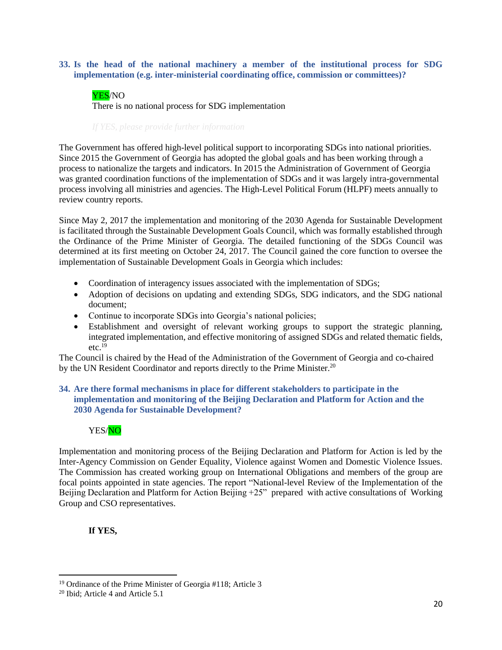## **33. Is the head of the national machinery a member of the institutional process for SDG implementation (e.g. inter-ministerial coordinating office, commission or committees)?**

# YES/NO

There is no national process for SDG implementation

The Government has offered high-level political support to incorporating SDGs into national priorities. Since 2015 the Government of Georgia has adopted the global goals and has been working through a process to nationalize the targets and indicators. In 2015 the Administration of Government of Georgia was granted coordination functions of the implementation of SDGs and it was largely intra-governmental process involving all ministries and agencies. The High-Level Political Forum (HLPF) meets annually to review country reports.

Since May 2, 2017 the implementation and monitoring of the 2030 Agenda for Sustainable Development is facilitated through the Sustainable Development Goals Council, which was formally established through the Ordinance of the Prime Minister of Georgia. The detailed functioning of the SDGs Council was determined at its first meeting on October 24, 2017. The Council gained the core function to oversee the implementation of Sustainable Development Goals in Georgia which includes:

- Coordination of interagency issues associated with the implementation of SDGs;
- Adoption of decisions on updating and extending SDGs, SDG indicators, and the SDG national document;
- Continue to incorporate SDGs into Georgia's national policies;
- Establishment and oversight of relevant working groups to support the strategic planning, integrated implementation, and effective monitoring of assigned SDGs and related thematic fields,  $etc.$ <sup>19</sup>

The Council is chaired by the Head of the Administration of the Government of Georgia and co-chaired by the UN Resident Coordinator and reports directly to the Prime Minister.<sup>20</sup>

# **34. Are there formal mechanisms in place for different stakeholders to participate in the implementation and monitoring of the Beijing Declaration and Platform for Action and the 2030 Agenda for Sustainable Development?**



Implementation and monitoring process of the Beijing Declaration and Platform for Action is led by the Inter-Agency Commission on Gender Equality, Violence against Women and Domestic Violence Issues. The Commission has created working group on International Obligations and members of the group are focal points appointed in state agencies. The report "National-level Review of the Implementation of the Beijing Declaration and Platform for Action Beijing  $+25$ " prepared with active consultations of Working Group and CSO representatives.

# **If YES,**

 $\overline{a}$ 

<sup>19</sup> Ordinance of the Prime Minister of Georgia #118; Article 3

<sup>20</sup> Ibid; Article 4 and Article 5.1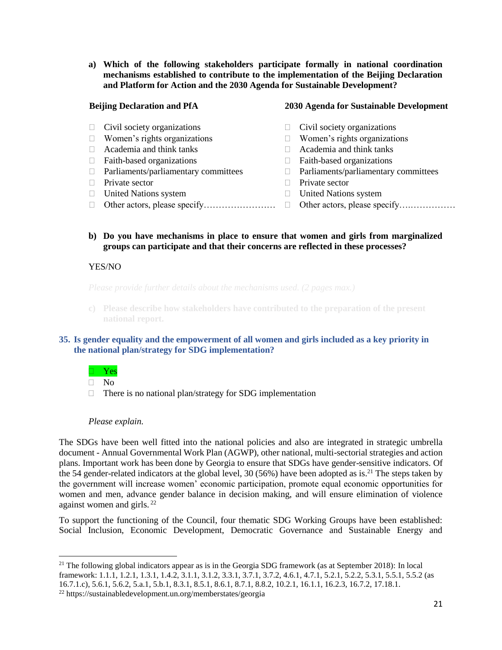**a) Which of the following stakeholders participate formally in national coordination mechanisms established to contribute to the implementation of the Beijing Declaration and Platform for Action and the 2030 Agenda for Sustainable Development?** 

### **Beijing Declaration and PfA**

- $\Box$  Civil society organizations
- $\Box$  Women's rights organizations
- Academia and think tanks
- $\Box$  Faith-based organizations
- $\Box$  Parliaments/parliamentary committees
- $\Box$  Private sector
- United Nations system
- Other actors, please specify…………………… Other actors, please specify….……………

#### **2030 Agenda for Sustainable Development**

- $\Box$  Civil society organizations
- $\Box$  Women's rights organizations
- Academia and think tanks
- $\Box$  Faith-based organizations
- $\Box$  Parliaments/parliamentary committees
- $\Box$  Private sector
- United Nations system
	-
- **b) Do you have mechanisms in place to ensure that women and girls from marginalized groups can participate and that their concerns are reflected in these processes?**

### YES/NO

**c) Please describe how stakeholders have contributed to the preparation of the present national report.** 

### **35. Is gender equality and the empowerment of all women and girls included as a key priority in the national plan/strategy for SDG implementation?**

### Yes

 $\Box$  No

 $\overline{a}$ 

 $\Box$  There is no national plan/strategy for SDG implementation

### *Please explain.*

The SDGs have been well fitted into the national policies and also are integrated in strategic umbrella document - Annual Governmental Work Plan (AGWP), other national, multi-sectorial strategies and action plans. Important work has been done by Georgia to ensure that SDGs have gender-sensitive indicators. Of the 54 gender-related indicators at the global level, 30 (56%) have been adopted as is.<sup>21</sup> The steps taken by the government will increase women' economic participation, promote equal economic opportunities for women and men, advance gender balance in decision making, and will ensure elimination of violence against women and girls. <sup>22</sup>

To support the functioning of the Council, four thematic SDG Working Groups have been established: Social Inclusion, Economic Development, Democratic Governance and Sustainable Energy and

 $21$  The following global indicators appear as is in the Georgia SDG framework (as at September 2018): In local framework: 1.1.1, 1.2.1, 1.3.1, 1.4.2, 3.1.1, 3.1.2, 3.3.1, 3.7.1, 3.7.2, 4.6.1, 4.7.1, 5.2.1, 5.2.2, 5.3.1, 5.5.1, 5.5.2 (as 16.7.1.c), 5.6.1, 5.6.2, 5.a.1, 5.b.1, 8.3.1, 8.5.1, 8.6.1, 8.7.1, 8.8.2, 10.2.1, 16.1.1, 16.2.3, 16.7.2, 17.18.1.

<sup>22</sup> https://sustainabledevelopment.un.org/memberstates/georgia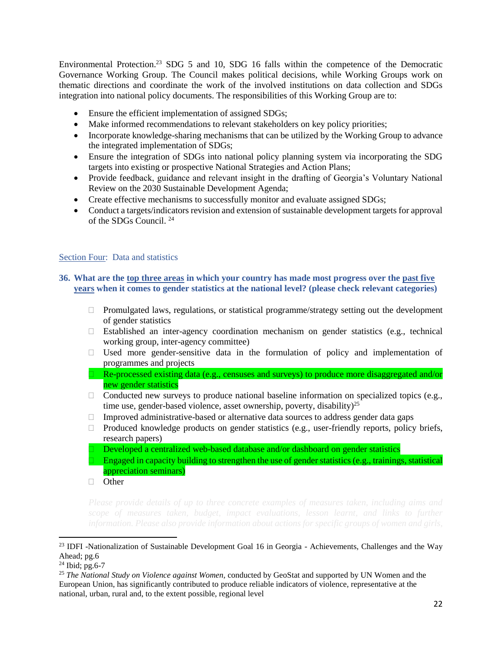Environmental Protection.<sup>23</sup> SDG 5 and 10, SDG 16 falls within the competence of the Democratic Governance Working Group. The Council makes political decisions, while Working Groups work on thematic directions and coordinate the work of the involved institutions on data collection and SDGs integration into national policy documents. The responsibilities of this Working Group are to:

- Ensure the efficient implementation of assigned SDGs;
- Make informed recommendations to relevant stakeholders on key policy priorities;
- Incorporate knowledge-sharing mechanisms that can be utilized by the Working Group to advance the integrated implementation of SDGs;
- Ensure the integration of SDGs into national policy planning system via incorporating the SDG targets into existing or prospective National Strategies and Action Plans;
- Provide feedback, guidance and relevant insight in the drafting of Georgia's Voluntary National Review on the 2030 Sustainable Development Agenda;
- Create effective mechanisms to successfully monitor and evaluate assigned SDGs;
- Conduct a targets/indicators revision and extension of sustainable development targets for approval of the SDGs Council. <sup>24</sup>

# Section Four: Data and statistics

# **36. What are the top three areas in which your country has made most progress over the past five years when it comes to gender statistics at the national level? (please check relevant categories)**

- $\Box$  Promulgated laws, regulations, or statistical programme/strategy setting out the development of gender statistics
- $\Box$  Established an inter-agency coordination mechanism on gender statistics (e.g., technical working group, inter-agency committee)
- $\Box$  Used more gender-sensitive data in the formulation of policy and implementation of programmes and projects
- □ Re-processed existing data (e.g., censuses and surveys) to produce more disaggregated and/or new gender statistics
- $\Box$  Conducted new surveys to produce national baseline information on specialized topics (e.g., time use, gender-based violence, asset ownership, poverty, disability)<sup>25</sup>
- $\Box$  Improved administrative-based or alternative data sources to address gender data gaps
- $\Box$  Produced knowledge products on gender statistics (e.g., user-friendly reports, policy briefs, research papers)
- Developed a centralized web-based database and/or dashboard on gender statistics
- Engaged in capacity building to strengthen the use of gender statistics (e.g., trainings, statistical appreciation seminars)
- $\Box$  Other

 $\overline{\phantom{a}}$ 

<sup>&</sup>lt;sup>23</sup> IDFI -Nationalization of Sustainable Development Goal 16 in Georgia - Achievements, Challenges and the Way Ahead; pg.6

 $^{24}$  Ibid; pg.6-7

<sup>25</sup> *The [National](http://georgia.unwomen.org/en/digital-library/publications/2018/03/national-study-on-violence-against-women-in-georgia-2017) Study on Violence against Women,* conducted by GeoStat and supported by UN Women and the European Union, has significantly contributed to produce reliable indicators of violence, representative at the national, urban, rural and, to the extent possible, regional level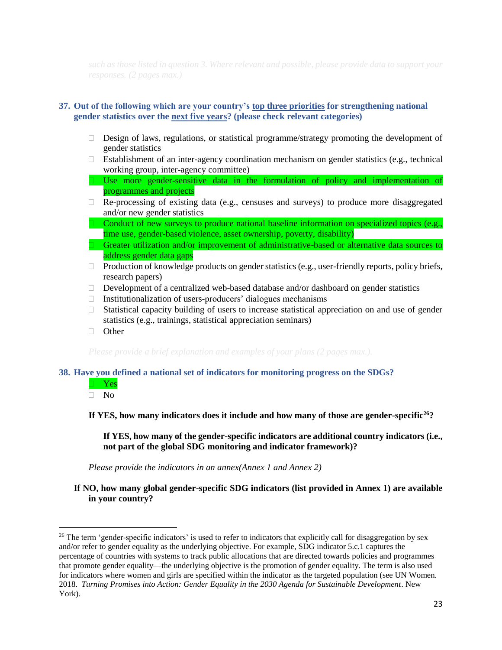# **37. Out of the following which are your country's top three priorities for strengthening national gender statistics over the next five years? (please check relevant categories)**

- $\Box$  Design of laws, regulations, or statistical programme/strategy promoting the development of gender statistics
- $\Box$  Establishment of an inter-agency coordination mechanism on gender statistics (e.g., technical working group, inter-agency committee)
- $\Box$  Use more gender-sensitive data in the formulation of policy and implementation of programmes and projects
- $\Box$  Re-processing of existing data (e.g., censuses and surveys) to produce more disaggregated and/or new gender statistics
- Conduct of new surveys to produce national baseline information on specialized topics (e.g., time use, gender-based violence, asset ownership, poverty, disability)
- $\Box$  Greater utilization and/or improvement of administrative-based or alternative data sources to address gender data gaps
- □ Production of knowledge products on gender statistics (e.g., user-friendly reports, policy briefs, research papers)
- $\Box$  Development of a centralized web-based database and/or dashboard on gender statistics
- $\Box$  Institutionalization of users-producers' dialogues mechanisms
- $\Box$  Statistical capacity building of users to increase statistical appreciation on and use of gender statistics (e.g., trainings, statistical appreciation seminars)
- □ Other

### **38. Have you defined a national set of indicators for monitoring progress on the SDGs?**

 Yes  $\overline{\Box}$  No

 $\overline{\phantom{a}}$ 

**If YES, how many indicators does it include and how many of those are gender-specific<sup>26</sup>?**

**If YES, how many of the gender-specific indicators are additional country indicators (i.e., not part of the global SDG monitoring and indicator framework)?**

*Please provide the indicators in an annex(Annex 1 and Annex 2)*

**If NO, how many global gender-specific SDG indicators (list provided in Annex 1) are available in your country?** 

<sup>&</sup>lt;sup>26</sup> The term 'gender-specific indicators' is used to refer to indicators that explicitly call for disaggregation by sex and/or refer to gender equality as the underlying objective. For example, SDG indicator 5.c.1 captures the percentage of countries with systems to track public allocations that are directed towards policies and programmes that promote gender equality—the underlying objective is the promotion of gender equality. The term is also used for indicators where women and girls are specified within the indicator as the targeted population (see UN Women. 2018. *Turning Promises into Action: Gender Equality in the 2030 Agenda for Sustainable Development*. New York).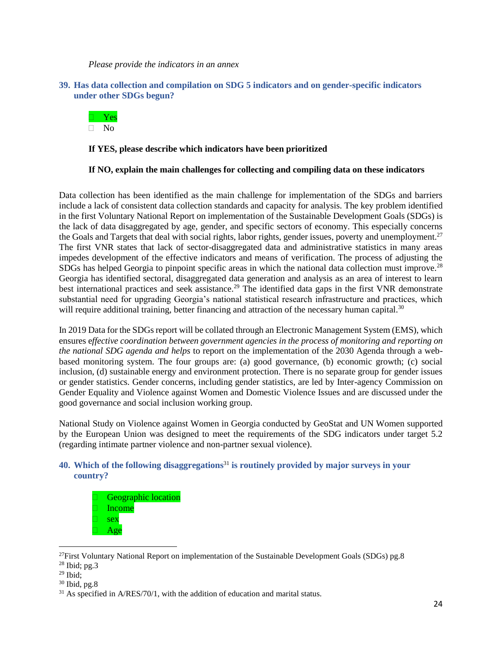*Please provide the indicators in an annex*

### **39. Has data collection and compilation on SDG 5 indicators and on gender-specific indicators under other SDGs begun?**



# **If YES, please describe which indicators have been prioritized**

# **If NO, explain the main challenges for collecting and compiling data on these indicators**

Data collection has been identified as the main challenge for implementation of the SDGs and barriers include a lack of consistent data collection standards and capacity for analysis. The key problem identified in the first Voluntary National Report on implementation of the Sustainable Development Goals (SDGs) is the lack of data disaggregated by age, gender, and specific sectors of economy. This especially concerns the Goals and Targets that deal with social rights, labor rights, gender issues, poverty and unemployment.<sup>27</sup> The first VNR states that lack of sector-disaggregated data and administrative statistics in many areas impedes development of the effective indicators and means of verification. The process of adjusting the SDGs has helped Georgia to pinpoint specific areas in which the national data collection must improve.<sup>28</sup> Georgia has identified sectoral, disaggregated data generation and analysis as an area of interest to learn best international practices and seek assistance.<sup>29</sup> The identified data gaps in the first VNR demonstrate substantial need for upgrading Georgia's national statistical research infrastructure and practices, which will require additional training, better financing and attraction of the necessary human capital.<sup>30</sup>

In 2019 Data for the SDGs report will be collated through an Electronic Management System (EMS), which ensures e*ffective coordination between government agencies in the process of monitoring and reporting on the national SDG agenda and helps* to report on the implementation of the 2030 Agenda through a webbased monitoring system. The four groups are: (a) good governance, (b) economic growth; (c) social inclusion, (d) sustainable energy and environment protection. There is no separate group for gender issues or gender statistics. Gender concerns, including gender statistics, are led by Inter-agency Commission on Gender Equality and Violence against Women and Domestic Violence Issues and are discussed under the good governance and social inclusion working group.

National Study on Violence against Women in Georgia conducted by GeoStat and UN Women supported by the European Union was designed to meet the requirements of the SDG indicators under target 5.2 (regarding intimate partner violence and non-partner sexual violence).

# **40. Which of the following disaggregations**<sup>31</sup> **is routinely provided by major surveys in your country?**

 Geographic location Income sex Age

l

 $^{27}$ First Voluntary National Report on implementation of the Sustainable Development Goals (SDGs) pg.8  $28$  Ibid; pg. 3

 $29$  Ibid;

<sup>30</sup> Ibid, pg.8

 $31$  As specified in A/RES/70/1, with the addition of education and marital status.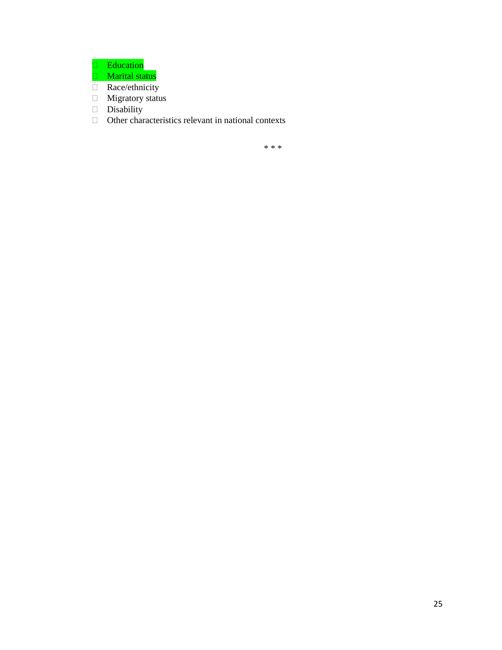**Education** 

- **Marital status**
- Race/ethnicity
- **Migratory status**
- Disability
- $\Box$  Other characteristics relevant in national contexts

\* \* \*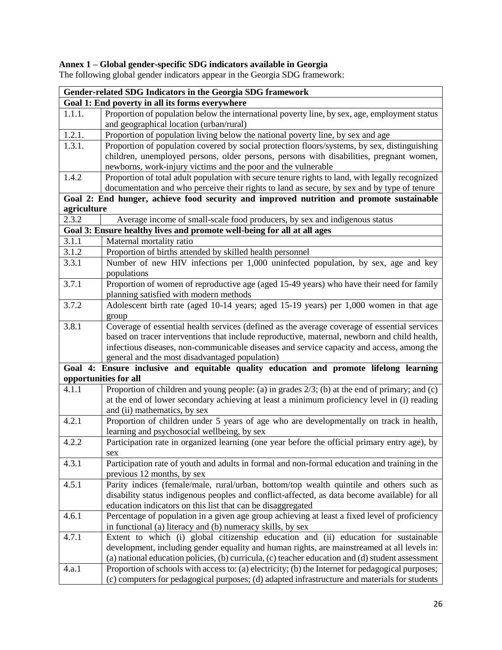# **Annex 1 – Global gender-specific SDG indicators available in Georgia**

| Gender-related SDG Indicators in the Georgia SDG framework |                                                                                                   |  |  |  |
|------------------------------------------------------------|---------------------------------------------------------------------------------------------------|--|--|--|
| Goal 1: End poverty in all its forms everywhere            |                                                                                                   |  |  |  |
| 1.1.1.                                                     | Proportion of population below the international poverty line, by sex, age, employment status     |  |  |  |
|                                                            | and geographical location (urban/rural)                                                           |  |  |  |
| 1.2.1.                                                     | Proportion of population living below the national poverty line, by sex and age                   |  |  |  |
| 1.3.1.                                                     | Proportion of population covered by social protection floors/systems, by sex, distinguishing      |  |  |  |
|                                                            | children, unemployed persons, older persons, persons with disabilities, pregnant women,           |  |  |  |
|                                                            | newborns, work-injury victims and the poor and the vulnerable                                     |  |  |  |
| 1.4.2                                                      | Proportion of total adult population with secure tenure rights to land, with legally recognized   |  |  |  |
|                                                            | documentation and who perceive their rights to land as secure, by sex and by type of tenure       |  |  |  |
|                                                            | Goal 2: End hunger, achieve food security and improved nutrition and promote sustainable          |  |  |  |
| agriculture                                                |                                                                                                   |  |  |  |
| 2.3.2                                                      | Average income of small-scale food producers, by sex and indigenous status                        |  |  |  |
|                                                            | Goal 3: Ensure healthy lives and promote well-being for all at all ages                           |  |  |  |
| 3.1.1                                                      | Maternal mortality ratio                                                                          |  |  |  |
| 3.1.2                                                      | Proportion of births attended by skilled health personnel                                         |  |  |  |
| 3.3.1                                                      | Number of new HIV infections per 1,000 uninfected population, by sex, age and key                 |  |  |  |
|                                                            | populations                                                                                       |  |  |  |
| 3.7.1                                                      | Proportion of women of reproductive age (aged 15-49 years) who have their need for family         |  |  |  |
|                                                            | planning satisfied with modern methods                                                            |  |  |  |
| 3.7.2                                                      | Adolescent birth rate (aged 10-14 years; aged 15-19 years) per 1,000 women in that age            |  |  |  |
|                                                            | group                                                                                             |  |  |  |
| 3.8.1                                                      | Coverage of essential health services (defined as the average coverage of essential services      |  |  |  |
|                                                            | based on tracer interventions that include reproductive, maternal, newborn and child health,      |  |  |  |
|                                                            | infectious diseases, non-communicable diseases and service capacity and access, among the         |  |  |  |
|                                                            | general and the most disadvantaged population)                                                    |  |  |  |
|                                                            | Goal 4: Ensure inclusive and equitable quality education and promote lifelong learning            |  |  |  |
|                                                            | opportunities for all                                                                             |  |  |  |
| 4.1.1                                                      | Proportion of children and young people: (a) in grades $2/3$ ; (b) at the end of primary; and (c) |  |  |  |
|                                                            | at the end of lower secondary achieving at least a minimum proficiency level in (i) reading       |  |  |  |
|                                                            | and (ii) mathematics, by sex                                                                      |  |  |  |
| 4.2.1                                                      | Proportion of children under 5 years of age who are developmentally on track in health,           |  |  |  |
|                                                            | learning and psychosocial wellbeing, by sex                                                       |  |  |  |
| 4.2.2                                                      | Participation rate in organized learning (one year before the official primary entry age), by     |  |  |  |
|                                                            | sex                                                                                               |  |  |  |
| 4.3.1                                                      | Participation rate of youth and adults in formal and non-formal education and training in the     |  |  |  |
|                                                            | previous 12 months, by sex                                                                        |  |  |  |
| 4.5.1                                                      | Parity indices (female/male, rural/urban, bottom/top wealth quintile and others such as           |  |  |  |
|                                                            | disability status indigenous peoples and conflict-affected, as data become available) for all     |  |  |  |
|                                                            | education indicators on this list that can be disaggregated                                       |  |  |  |
| 4.6.1                                                      | Percentage of population in a given age group achieving at least a fixed level of proficiency     |  |  |  |
|                                                            | in functional (a) literacy and (b) numeracy skills, by sex                                        |  |  |  |
| 4.7.1                                                      | Extent to which (i) global citizenship education and (ii) education for sustainable               |  |  |  |
|                                                            | development, including gender equality and human rights, are mainstreamed at all levels in:       |  |  |  |
|                                                            | (a) national education policies, (b) curricula, (c) teacher education and (d) student assessment  |  |  |  |
| 4.a.1                                                      | Proportion of schools with access to: (a) electricity; (b) the Internet for pedagogical purposes; |  |  |  |
|                                                            | (c) computers for pedagogical purposes; (d) adapted infrastructure and materials for students     |  |  |  |

The following global gender indicators appear in the Georgia SDG framework: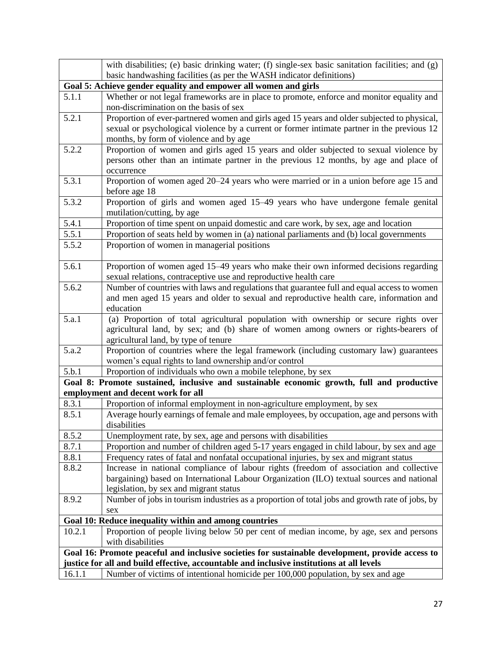|                                                                                                      | with disabilities; (e) basic drinking water; (f) single-sex basic sanitation facilities; and (g)                                                                               |  |
|------------------------------------------------------------------------------------------------------|--------------------------------------------------------------------------------------------------------------------------------------------------------------------------------|--|
|                                                                                                      | basic handwashing facilities (as per the WASH indicator definitions)                                                                                                           |  |
|                                                                                                      | Goal 5: Achieve gender equality and empower all women and girls                                                                                                                |  |
| 5.1.1                                                                                                | Whether or not legal frameworks are in place to promote, enforce and monitor equality and<br>non-discrimination on the basis of sex                                            |  |
| 5.2.1<br>Proportion of ever-partnered women and girls aged 15 years and older subjected to physical, |                                                                                                                                                                                |  |
|                                                                                                      | sexual or psychological violence by a current or former intimate partner in the previous 12                                                                                    |  |
|                                                                                                      | months, by form of violence and by age                                                                                                                                         |  |
| 5.2.2                                                                                                | Proportion of women and girls aged 15 years and older subjected to sexual violence by<br>persons other than an intimate partner in the previous 12 months, by age and place of |  |
|                                                                                                      | occurrence                                                                                                                                                                     |  |
| 5.3.1                                                                                                | Proportion of women aged 20–24 years who were married or in a union before age 15 and                                                                                          |  |
|                                                                                                      | before age 18                                                                                                                                                                  |  |
| 5.3.2                                                                                                | Proportion of girls and women aged 15-49 years who have undergone female genital                                                                                               |  |
|                                                                                                      | mutilation/cutting, by age                                                                                                                                                     |  |
| 5.4.1                                                                                                | Proportion of time spent on unpaid domestic and care work, by sex, age and location                                                                                            |  |
| 5.5.1                                                                                                | Proportion of seats held by women in (a) national parliaments and (b) local governments                                                                                        |  |
| 5.5.2                                                                                                | Proportion of women in managerial positions                                                                                                                                    |  |
| 5.6.1                                                                                                | Proportion of women aged 15–49 years who make their own informed decisions regarding                                                                                           |  |
|                                                                                                      | sexual relations, contraceptive use and reproductive health care                                                                                                               |  |
| 5.6.2                                                                                                | Number of countries with laws and regulations that guarantee full and equal access to women                                                                                    |  |
|                                                                                                      | and men aged 15 years and older to sexual and reproductive health care, information and                                                                                        |  |
|                                                                                                      | education                                                                                                                                                                      |  |
| 5.a.1                                                                                                | (a) Proportion of total agricultural population with ownership or secure rights over                                                                                           |  |
|                                                                                                      | agricultural land, by sex; and (b) share of women among owners or rights-bearers of<br>agricultural land, by type of tenure                                                    |  |
| 5.a.2                                                                                                | Proportion of countries where the legal framework (including customary law) guarantees                                                                                         |  |
|                                                                                                      | women's equal rights to land ownership and/or control                                                                                                                          |  |
| 5.b.1                                                                                                | Proportion of individuals who own a mobile telephone, by sex                                                                                                                   |  |
|                                                                                                      | Goal 8: Promote sustained, inclusive and sustainable economic growth, full and productive                                                                                      |  |
|                                                                                                      | employment and decent work for all                                                                                                                                             |  |
| 8.3.1<br>8.5.1                                                                                       | Proportion of informal employment in non-agriculture employment, by sex                                                                                                        |  |
|                                                                                                      | Average hourly earnings of female and male employees, by occupation, age and persons with<br>disabilities                                                                      |  |
| 8.5.2                                                                                                | Unemployment rate, by sex, age and persons with disabilities                                                                                                                   |  |
| 8.7.1                                                                                                | Proportion and number of children aged 5-17 years engaged in child labour, by sex and age                                                                                      |  |
| 8.8.1                                                                                                | Frequency rates of fatal and nonfatal occupational injuries, by sex and migrant status                                                                                         |  |
| 8.8.2                                                                                                | Increase in national compliance of labour rights (freedom of association and collective                                                                                        |  |
|                                                                                                      | bargaining) based on International Labour Organization (ILO) textual sources and national                                                                                      |  |
|                                                                                                      | legislation, by sex and migrant status                                                                                                                                         |  |
| 8.9.2                                                                                                | Number of jobs in tourism industries as a proportion of total jobs and growth rate of jobs, by<br>sex                                                                          |  |
|                                                                                                      | Goal 10: Reduce inequality within and among countries                                                                                                                          |  |
| 10.2.1                                                                                               | Proportion of people living below 50 per cent of median income, by age, sex and persons                                                                                        |  |
|                                                                                                      | with disabilities                                                                                                                                                              |  |
| Goal 16: Promote peaceful and inclusive societies for sustainable development, provide access to     |                                                                                                                                                                                |  |
| justice for all and build effective, accountable and inclusive institutions at all levels            |                                                                                                                                                                                |  |
| 16.1.1                                                                                               | Number of victims of intentional homicide per 100,000 population, by sex and age                                                                                               |  |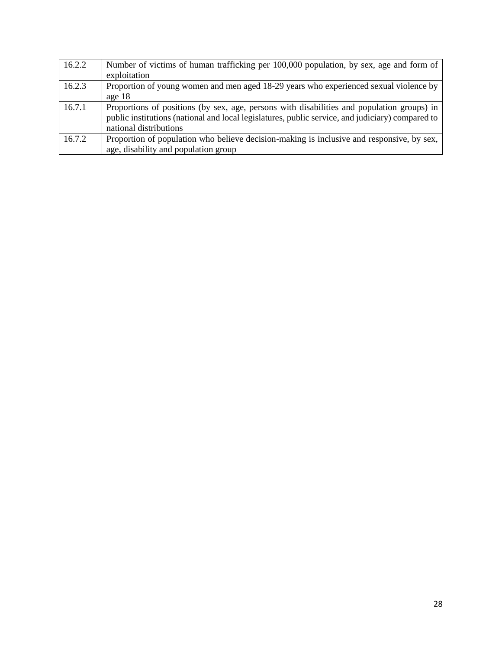| 16.2.2 | Number of victims of human trafficking per 100,000 population, by sex, age and form of           |
|--------|--------------------------------------------------------------------------------------------------|
|        | exploitation                                                                                     |
| 16.2.3 | Proportion of young women and men aged 18-29 years who experienced sexual violence by            |
|        | age 18                                                                                           |
| 16.7.1 | Proportions of positions (by sex, age, persons with disabilities and population groups) in       |
|        | public institutions (national and local legislatures, public service, and judiciary) compared to |
|        | national distributions                                                                           |
| 16.7.2 | Proportion of population who believe decision-making is inclusive and responsive, by sex,        |
|        | age, disability and population group                                                             |